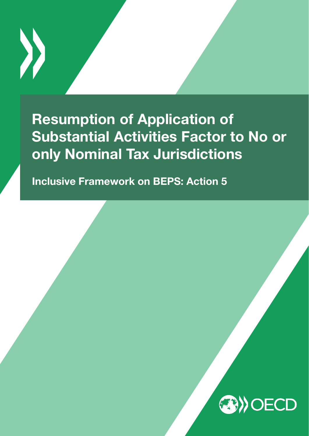# Resumption of Application of Substantial Activities Factor to No or only Nominal Tax Jurisdictions

Inclusive Framework on BEPS: Action 5

D

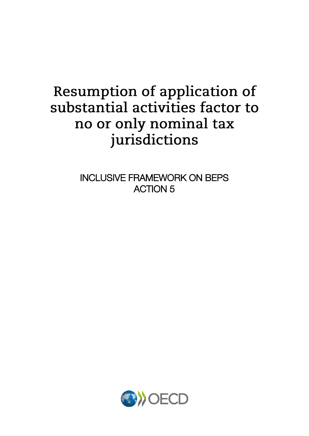## Resumption of application of substantial activities factor to no or only nominal tax jurisdictions

INCLUSIVE FRAMEWORK ON BEPS ACTION 5

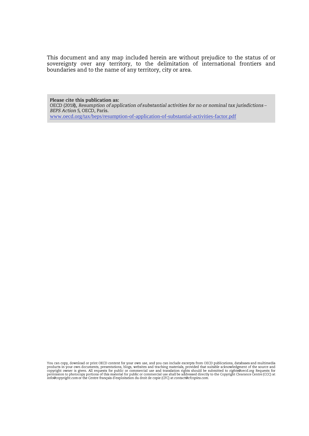This document and any map included herein are without prejudice to the status of or sovereignty over any territory, to the delimitation of international frontiers and boundaries and to the name of any territory, city or area.

Please cite this publication as: OECD (2018), Resumption of application of substantial activities for no or nominal tax jurisdictions -BEPS Action 5, OECD, Paris. [www.oecd.org/tax/beps/resumption-of-application-of-substantial-activities-factor.pdf](http://www.oecd.org/tax/beps/resumption-of-application-of-substantial-activities-factor.pdf) 

You can copy, download or print OECD content for your own use, and you can include excerpts from OECD publications, databases and multimedia products in your own documents, presentations, blogs, websites and teaching mater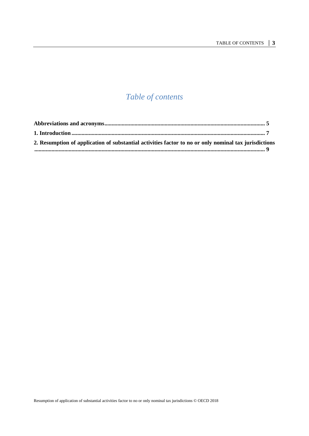### *Table of contents*

| 2. Resumption of application of substantial activities factor to no or only nominal tax jurisdictions |  |
|-------------------------------------------------------------------------------------------------------|--|
|                                                                                                       |  |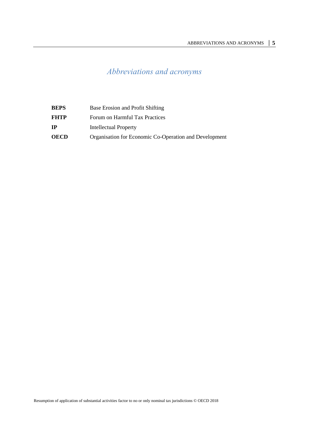### *Abbreviations and acronyms*

<span id="page-5-0"></span>

| <b>BEPS</b> | Base Erosion and Profit Shifting                       |
|-------------|--------------------------------------------------------|
| <b>FHTP</b> | Forum on Harmful Tax Practices                         |
| <b>IP</b>   | <b>Intellectual Property</b>                           |
| <b>OECD</b> | Organisation for Economic Co-Operation and Development |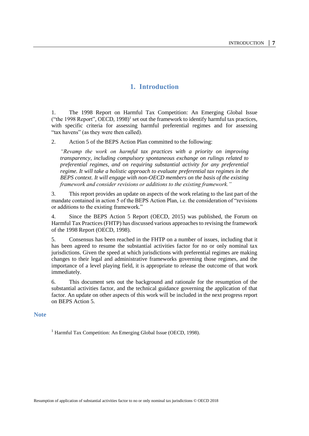#### **1. Introduction**

<span id="page-7-0"></span>1. The 1998 Report on Harmful Tax Competition: An Emerging Global Issue ("the 1998 Report", OECD,  $1998$ )<sup>1</sup> set out the framework to identify harmful tax practices, with specific criteria for assessing harmful preferential regimes and for assessing "tax havens" (as they were then called).

2. Action 5 of the BEPS Action Plan committed to the following:

*"Revamp the work on harmful tax practices with a priority on improving transparency, including compulsory spontaneous exchange on rulings related to preferential regimes, and on requiring substantial activity for any preferential regime. It will take a holistic approach to evaluate preferential tax regimes in the BEPS context. It will engage with non-OECD members on the basis of the existing framework and consider revisions or additions to the existing framework."*

3. This report provides an update on aspects of the work relating to the last part of the mandate contained in action 5 of the BEPS Action Plan, i.e. the consideration of "revisions or additions to the existing framework."

4. Since the BEPS Action 5 Report (OECD, 2015) was published, the Forum on Harmful Tax Practices (FHTP) has discussed various approaches to revising the framework of the 1998 Report (OECD, 1998).

5. Consensus has been reached in the FHTP on a number of issues, including that it has been agreed to resume the substantial activities factor for no or only nominal tax jurisdictions. Given the speed at which jurisdictions with preferential regimes are making changes to their legal and administrative frameworks governing those regimes, and the importance of a level playing field, it is appropriate to release the outcome of that work immediately.

6. This document sets out the background and rationale for the resumption of the substantial activities factor, and the technical guidance governing the application of that factor. An update on other aspects of this work will be included in the next progress report on BEPS Action 5.

#### **Note**

<sup>1</sup> Harmful Tax Competition: An Emerging Global Issue (OECD, 1998).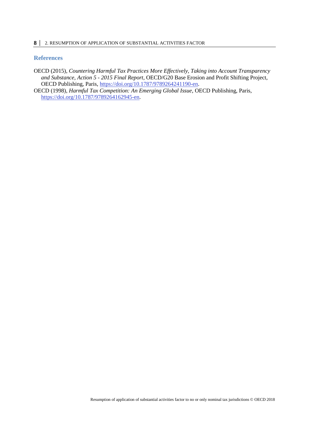#### **8 │** 2. RESUMPTION OF APPLICATION OF SUBSTANTIAL ACTIVITIES FACTOR

#### **References**

OECD (2015), *Countering Harmful Tax Practices More Effectively, Taking into Account Transparency and Substance, Action 5 - 2015 Final Report*, OECD/G20 Base Erosion and Profit Shifting Project, OECD Publishing, Paris, [https://doi.org/10.1787/9789264241190-en.](https://doi.org/10.1787/9789264241190-en)

OECD (1998), *Harmful Tax Competition: An Emerging Global Issue*, OECD Publishing, Paris, [https://doi.org/10.1787/9789264162945-en.](https://doi.org/10.1787/9789264162945-en)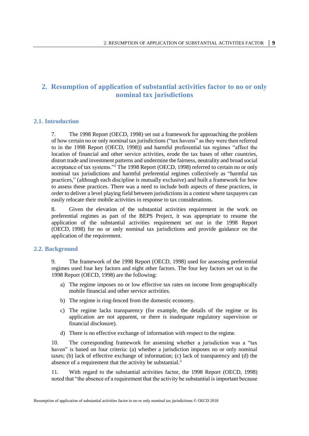#### <span id="page-9-0"></span>**2. Resumption of application of substantial activities factor to no or only nominal tax jurisdictions**

#### **2.1. Introduction**

7. The 1998 Report (OECD, 1998) set out a framework for approaching the problem of how certain no or only nominal tax jurisdictions ("tax havens" as they were then referred to in the 1998 Report (OECD, 1998)) and harmful preferential tax regimes "affect the location of financial and other service activities, erode the tax bases of other countries, distort trade and investment patterns and undermine the fairness, neutrality and broad social acceptance of tax systems."<sup>2</sup> The 1998 Report (OECD, 1998) referred to certain no or only nominal tax jurisdictions and harmful preferential regimes collectively as "harmful tax practices," (although each discipline is mutually exclusive) and built a framework for how to assess these practices. There was a need to include both aspects of these practices, in order to deliver a level playing field between jurisdictions in a context where taxpayers can easily relocate their mobile activities in response to tax considerations.

8. Given the elevation of the substantial activities requirement in the work on preferential regimes as part of the BEPS Project, it was appropriate to resume the application of the substantial activities requirement set out in the 1998 Report (OECD, 1998) for no or only nominal tax jurisdictions and provide guidance on the application of the requirement.

#### **2.2. Background**

9. The framework of the 1998 Report (OECD, 1998) used for assessing preferential regimes used four key factors and eight other factors. The four key factors set out in the 1998 Report (OECD, 1998) are the following:

- a) The regime imposes no or low effective tax rates on income from geographically mobile financial and other service activities.
- b) The regime is ring-fenced from the domestic economy.
- c) The regime lacks transparency (for example, the details of the regime or its application are not apparent, or there is inadequate regulatory supervision or financial disclosure).
- d) There is no effective exchange of information with respect to the regime.

10. The corresponding framework for assessing whether a jurisdiction was a "tax haven" is based on four criteria: (a) whether a jurisdiction imposes no or only nominal taxes; (b) lack of effective exchange of information; (c) lack of transparency and (d) the absence of a requirement that the activity be substantial.<sup>3</sup>

11. With regard to the substantial activities factor, the 1998 Report (OECD, 1998) noted that "the absence of a requirement that the activity be substantial is important because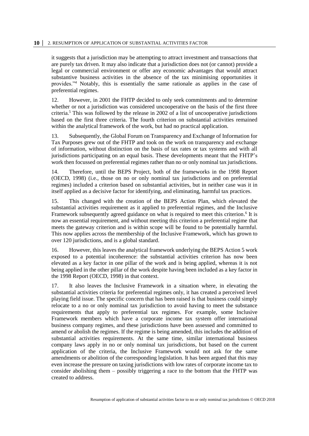it suggests that a jurisdiction may be attempting to attract investment and transactions that are purely tax driven. It may also indicate that a jurisdiction does not (or cannot) provide a legal or commercial environment or offer any economic advantages that would attract substantive business activities in the absence of the tax minimising opportunities it provides."<sup>4</sup> Notably, this is essentially the same rationale as applies in the case of preferential regimes.

12. However, in 2001 the FHTP decided to only seek commitments and to determine whether or not a jurisdiction was considered uncooperative on the basis of the first three criteria.<sup>5</sup> This was followed by the release in 2002 of a list of uncooperative jurisdictions based on the first three criteria. The fourth criterion on substantial activities remained within the analytical framework of the work, but had no practical application.

13. Subsequently, the Global Forum on Transparency and Exchange of Information for Tax Purposes grew out of the FHTP and took on the work on transparency and exchange of information, without distinction on the basis of tax rates or tax systems and with all jurisdictions participating on an equal basis. These developments meant that the FHTP's work then focussed on preferential regimes rather than no or only nominal tax jurisdictions.

14. Therefore, until the BEPS Project, both of the frameworks in the 1998 Report (OECD, 1998) (i.e., those on no or only nominal tax jurisdictions and on preferential regimes) included a criterion based on substantial activities, but in neither case was it in itself applied as a decisive factor for identifying, and eliminating, harmful tax practices.

15. This changed with the creation of the BEPS Action Plan, which elevated the substantial activities requirement as it applied to preferential regimes, and the Inclusive Framework subsequently agreed guidance on what is required to meet this criterion.<sup>6</sup> It is now an essential requirement, and without meeting this criterion a preferential regime that meets the gateway criterion and is within scope will be found to be potentially harmful. This now applies across the membership of the Inclusive Framework, which has grown to over 120 jurisdictions, and is a global standard.

16. However, this leaves the analytical framework underlying the BEPS Action 5 work exposed to a potential incoherence: the substantial activities criterion has now been elevated as a key factor in one pillar of the work and is being applied, whereas it is not being applied in the other pillar of the work despite having been included as a key factor in the 1998 Report (OECD, 1998) in that context.

17. It also leaves the Inclusive Framework in a situation where, in elevating the substantial activities criteria for preferential regimes only, it has created a perceived level playing field issue. The specific concern that has been raised is that business could simply relocate to a no or only nominal tax jurisdiction to avoid having to meet the substance requirements that apply to preferential tax regimes. For example, some Inclusive Framework members which have a corporate income tax system offer international business company regimes, and these jurisdictions have been assessed and committed to amend or abolish the regimes. If the regime is being amended, this includes the addition of substantial activities requirements. At the same time, similar international business company laws apply in no or only nominal tax jurisdictions, but based on the current application of the criteria, the Inclusive Framework would not ask for the same amendments or abolition of the corresponding legislation. It has been argued that this may even increase the pressure on taxing jurisdictions with low rates of corporate income tax to consider abolishing them – possibly triggering a race to the bottom that the FHTP was created to address.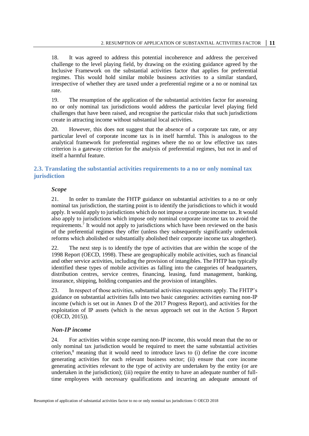18. It was agreed to address this potential incoherence and address the perceived challenge to the level playing field, by drawing on the existing guidance agreed by the Inclusive Framework on the substantial activities factor that applies for preferential regimes. This would hold similar mobile business activities to a similar standard, irrespective of whether they are taxed under a preferential regime or a no or nominal tax rate.

19. The resumption of the application of the substantial activities factor for assessing no or only nominal tax jurisdictions would address the particular level playing field challenges that have been raised, and recognise the particular risks that such jurisdictions create in attracting income without substantial local activities.

20. However, this does not suggest that the absence of a corporate tax rate, or any particular level of corporate income tax is in itself harmful. This is analogous to the analytical framework for preferential regimes where the no or low effective tax rates criterion is a gateway criterion for the analysis of preferential regimes, but not in and of itself a harmful feature.

#### **2.3. Translating the substantial activities requirements to a no or only nominal tax jurisdiction**

#### *Scope*

21. In order to translate the FHTP guidance on substantial activities to a no or only nominal tax jurisdiction, the starting point is to identify the jurisdictions to which it would apply. It would apply to jurisdictions which do not impose a corporate income tax. It would also apply to jurisdictions which impose only nominal corporate income tax to avoid the requirements.<sup>7</sup> It would not apply to jurisdictions which have been reviewed on the basis of the preferential regimes they offer (unless they subsequently significantly undertook reforms which abolished or substantially abolished their corporate income tax altogether).

22. The next step is to identify the type of activities that are within the scope of the 1998 Report (OECD, 1998). These are geographically mobile activities, such as financial and other service activities, including the provision of intangibles. The FHTP has typically identified these types of mobile activities as falling into the categories of headquarters, distribution centres, service centres, financing, leasing, fund management, banking, insurance, shipping, holding companies and the provision of intangibles.

23. In respect of those activities, substantial activities requirements apply. The FHTP's guidance on substantial activities falls into two basic categories: activities earning non-IP income (which is set out in Annex D of the 2017 Progress Report), and activities for the exploitation of IP assets (which is the nexus approach set out in the Action 5 Report (OECD, 2015)).

#### *Non-IP income*

24. For activities within scope earning non-IP income, this would mean that the no or only nominal tax jurisdiction would be required to meet the same substantial activities criterion, $8$  meaning that it would need to introduce laws to (i) define the core income generating activities for each relevant business sector; (ii) ensure that core income generating activities relevant to the type of activity are undertaken by the entity (or are undertaken in the jurisdiction); (iii) require the entity to have an adequate number of fulltime employees with necessary qualifications and incurring an adequate amount of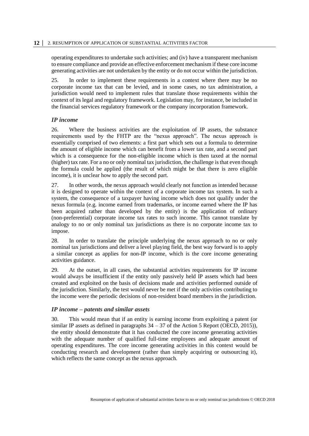operating expenditures to undertake such activities; and (iv) have a transparent mechanism to ensure compliance and provide an effective enforcement mechanism if these core income generating activities are not undertaken by the entity or do not occur within the jurisdiction.

25. In order to implement these requirements in a context where there may be no corporate income tax that can be levied, and in some cases, no tax administration, a jurisdiction would need to implement rules that translate those requirements within the context of its legal and regulatory framework. Legislation may, for instance, be included in the financial services regulatory framework or the company incorporation framework.

#### *IP income*

26. Where the business activities are the exploitation of IP assets, the substance requirements used by the FHTP are the "nexus approach". The nexus approach is essentially comprised of two elements: a first part which sets out a formula to determine the amount of eligible income which can benefit from a lower tax rate, and a second part which is a consequence for the non-eligible income which is then taxed at the normal (higher) tax rate. For a no or only nominal tax jurisdiction, the challenge is that even though the formula could be applied (the result of which might be that there is zero eligible income), it is unclear how to apply the second part.

27. In other words, the nexus approach would clearly not function as intended because it is designed to operate within the context of a corporate income tax system. In such a system, the consequence of a taxpayer having income which does not qualify under the nexus formula (e.g. income earned from trademarks, or income earned where the IP has been acquired rather than developed by the entity) is the application of ordinary (non-preferential) corporate income tax rates to such income. This cannot translate by analogy to no or only nominal tax jurisdictions as there is no corporate income tax to impose.

28. In order to translate the principle underlying the nexus approach to no or only nominal tax jurisdictions and deliver a level playing field, the best way forward is to apply a similar concept as applies for non-IP income, which is the core income generating activities guidance.

29. At the outset, in all cases, the substantial activities requirements for IP income would always be insufficient if the entity only passively held IP assets which had been created and exploited on the basis of decisions made and activities performed outside of the jurisdiction. Similarly, the test would never be met if the only activities contributing to the income were the periodic decisions of non-resident board members in the jurisdiction.

#### *IP income – patents and similar assets*

30. This would mean that if an entity is earning income from exploiting a patent (or similar IP assets as defined in paragraphs  $34 - 37$  of the Action 5 Report (OECD, 2015)), the entity should demonstrate that it has conducted the core income generating activities with the adequate number of qualified full-time employees and adequate amount of operating expenditures. The core income generating activities in this context would be conducting research and development (rather than simply acquiring or outsourcing it), which reflects the same concept as the nexus approach.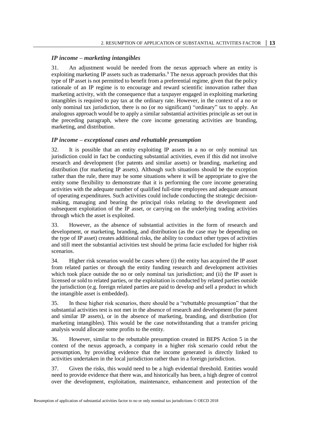#### *IP income – marketing intangibles*

31. An adjustment would be needed from the nexus approach where an entity is exploiting marketing IP assets such as trademarks.<sup>9</sup> The nexus approach provides that this type of IP asset is not permitted to benefit from a preferential regime, given that the policy rationale of an IP regime is to encourage and reward scientific innovation rather than marketing activity, with the consequence that a taxpayer engaged in exploiting marketing intangibles is required to pay tax at the ordinary rate. However, in the context of a no or only nominal tax jurisdiction, there is no (or no significant) "ordinary" tax to apply. An analogous approach would be to apply a similar substantial activities principle as set out in the preceding paragraph, where the core income generating activities are branding, marketing, and distribution.

#### *IP income – exceptional cases and rebuttable presumption*

32. It is possible that an entity exploiting IP assets in a no or only nominal tax jurisdiction could in fact be conducting substantial activities, even if this did not involve research and development (for patents and similar assets) or branding, marketing and distribution (for marketing IP assets). Although such situations should be the exception rather than the rule, there may be some situations where it will be appropriate to give the entity some flexibility to demonstrate that it is performing the core income generating activities with the adequate number of qualified full-time employees and adequate amount of operating expenditures. Such activities could include conducting the strategic decisionmaking, managing and bearing the principal risks relating to the development and subsequent exploitation of the IP asset, or carrying on the underlying trading activities through which the asset is exploited.

33. However, as the absence of substantial activities in the form of research and development, or marketing, branding, and distribution (as the case may be depending on the type of IP asset) creates additional risks, the ability to conduct other types of activities and still meet the substantial activities test should be prima facie excluded for higher risk scenarios.

34. Higher risk scenarios would be cases where (i) the entity has acquired the IP asset from related parties or through the entity funding research and development activities which took place outside the no or only nominal tax jurisdiction; and (ii) the IP asset is licensed or sold to related parties, or the exploitation is conducted by related parties outside the jurisdiction (e.g. foreign related parties are paid to develop and sell a product in which the intangible asset is embedded).

35. In these higher risk scenarios, there should be a "rebuttable presumption" that the substantial activities test is not met in the absence of research and development (for patent and similar IP assets), or in the absence of marketing, branding, and distribution (for marketing intangibles). This would be the case notwithstanding that a transfer pricing analysis would allocate some profits to the entity.

36. However, similar to the rebuttable presumption created in BEPS Action 5 in the context of the nexus approach, a company in a higher risk scenario could rebut the presumption, by providing evidence that the income generated is directly linked to activities undertaken in the local jurisdiction rather than in a foreign jurisdiction.

37. Given the risks, this would need to be a high evidential threshold. Entities would need to provide evidence that there was, and historically has been, a high degree of control over the development, exploitation, maintenance, enhancement and protection of the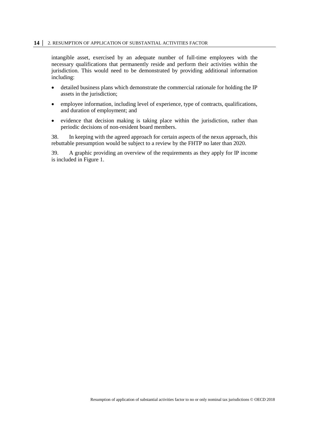intangible asset, exercised by an adequate number of full-time employees with the necessary qualifications that permanently reside and perform their activities within the jurisdiction. This would need to be demonstrated by providing additional information including:

- detailed business plans which demonstrate the commercial rationale for holding the IP assets in the jurisdiction;
- employee information, including level of experience, type of contracts, qualifications, and duration of employment; and
- evidence that decision making is taking place within the jurisdiction, rather than periodic decisions of non-resident board members.

38. In keeping with the agreed approach for certain aspects of the nexus approach, this rebuttable presumption would be subject to a review by the FHTP no later than 2020.

39. A graphic providing an overview of the requirements as they apply for IP income is included in Figure 1.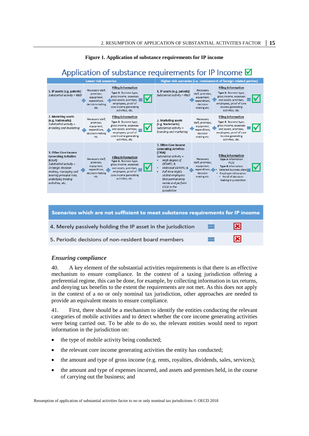

#### **Figure 1. Application of substance requirements for IP income**

|x| 4. Merely passively holding the IP asset in the jurisdiction |x 5. Periodic decisions of non-resident board members 드

#### *Ensuring compliance*

40. A key element of the substantial activities requirements is that there is an effective mechanism to ensure compliance. In the context of a taxing jurisdiction offering a preferential regime, this can be done, for example, by collecting information in tax returns, and denying tax benefits to the extent the requirements are not met. As this does not apply in the context of a no or only nominal tax jurisdiction, other approaches are needed to provide an equivalent means to ensure compliance.

41. First, there should be a mechanism to identify the entities conducting the relevant categories of mobile activities and to detect whether the core income generating activities were being carried out. To be able to do so, the relevant entities would need to report information in the jurisdiction on:

- the type of mobile activity being conducted;
- the relevant core income generating activities the entity has conducted;
- the amount and type of gross income (e.g. rents, royalties, dividends, sales, services);
- the amount and type of expenses incurred, and assets and premises held, in the course of carrying out the business; and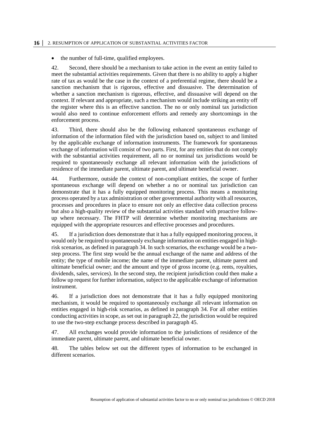the number of full-time, qualified employees.

42. Second, there should be a mechanism to take action in the event an entity failed to meet the substantial activities requirements. Given that there is no ability to apply a higher rate of tax as would be the case in the context of a preferential regime, there should be a sanction mechanism that is rigorous, effective and dissuasive. The determination of whether a sanction mechanism is rigorous, effective, and dissuasive will depend on the context. If relevant and appropriate, such a mechanism would include striking an entity off the register where this is an effective sanction. The no or only nominal tax jurisdiction would also need to continue enforcement efforts and remedy any shortcomings in the enforcement process.

43. Third, there should also be the following enhanced spontaneous exchange of information of the information filed with the jurisdiction based on, subject to and limited by the applicable exchange of information instruments. The framework for spontaneous exchange of information will consist of two parts. First, for any entities that do not comply with the substantial activities requirement, all no or nominal tax jurisdictions would be required to spontaneously exchange all relevant information with the jurisdictions of residence of the immediate parent, ultimate parent, and ultimate beneficial owner.

44. Furthermore, outside the context of non-compliant entities, the scope of further spontaneous exchange will depend on whether a no or nominal tax jurisdiction can demonstrate that it has a fully equipped monitoring process. This means a monitoring process operated by a tax administration or other governmental authority with all resources, processes and procedures in place to ensure not only an effective data collection process but also a high-quality review of the substantial activities standard with proactive followup where necessary. The FHTP will determine whether monitoring mechanisms are equipped with the appropriate resources and effective processes and procedures.

45. If a jurisdiction does demonstrate that it has a fully equipped monitoring process, it would only be required to spontaneously exchange information on entities engaged in highrisk scenarios, as defined in paragraph 34. In such scenarios, the exchange would be a twostep process. The first step would be the annual exchange of the name and address of the entity; the type of mobile income; the name of the immediate parent, ultimate parent and ultimate beneficial owner; and the amount and type of gross income (e.g. rents, royalties, dividends, sales, services). In the second step, the recipient jurisdiction could then make a follow up request for further information, subject to the applicable exchange of information instrument.

46. If a jurisdiction does not demonstrate that it has a fully equipped monitoring mechanism, it would be required to spontaneously exchange all relevant information on entities engaged in high-risk scenarios, as defined in paragraph 34. For all other entities conducting activities in scope, as set out in paragraph 22, the jurisdiction would be required to use the two-step exchange process described in paragraph 45.

47. All exchanges would provide information to the jurisdictions of residence of the immediate parent, ultimate parent, and ultimate beneficial owner.

48. The tables below set out the different types of information to be exchanged in different scenarios.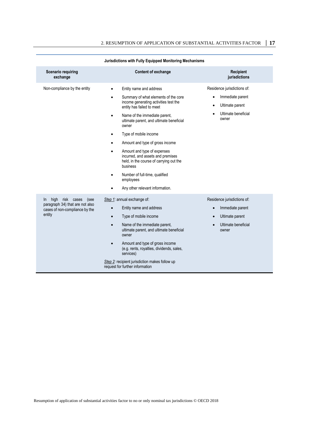| Julisalcuolis with Fully Equipped Monitoring Mechanisms                                                         |                                                                                                                                                                                                                                                                                                                                                                                                                                                                                                                                         |                                                                                                                 |  |  |  |
|-----------------------------------------------------------------------------------------------------------------|-----------------------------------------------------------------------------------------------------------------------------------------------------------------------------------------------------------------------------------------------------------------------------------------------------------------------------------------------------------------------------------------------------------------------------------------------------------------------------------------------------------------------------------------|-----------------------------------------------------------------------------------------------------------------|--|--|--|
| <b>Scenario requiring</b><br>exchange                                                                           | Content of exchange                                                                                                                                                                                                                                                                                                                                                                                                                                                                                                                     | <b>Recipient</b><br>jurisdictions                                                                               |  |  |  |
| Non-compliance by the entity                                                                                    | Entity name and address<br>$\bullet$<br>Summary of what elements of the core<br>$\bullet$<br>income generating activities test the<br>entity has failed to meet<br>Name of the immediate parent,<br>$\bullet$<br>ultimate parent, and ultimate beneficial<br>owner<br>Type of mobile income<br>$\bullet$<br>Amount and type of gross income<br>٠<br>Amount and type of expenses<br>incurred, and assets and premises<br>held, in the course of carrying out the<br>business<br>Number of full-time, qualified<br>$\bullet$<br>employees | Residence jurisdictions of:<br>Immediate parent<br>Ultimate parent<br>$\bullet$<br>Ultimate beneficial<br>owner |  |  |  |
|                                                                                                                 | Any other relevant information.                                                                                                                                                                                                                                                                                                                                                                                                                                                                                                         |                                                                                                                 |  |  |  |
| risk cases<br>high<br>(see<br>In<br>paragraph 34) that are not also<br>cases of non-compliance by the<br>entity | Step 1: annual exchange of:<br>Entity name and address<br>$\bullet$<br>Type of mobile income<br>$\bullet$<br>Name of the immediate parent,<br>ultimate parent, and ultimate beneficial<br>owner<br>Amount and type of gross income<br>$\bullet$<br>(e.g. rents, royalties, dividends, sales,<br>services)<br>Step 2: recipient jurisdiction makes follow up<br>request for further information                                                                                                                                          | Residence jurisdictions of:<br>Immediate parent<br>Ultimate parent<br>Ultimate beneficial<br>owner              |  |  |  |

#### **Jurisdictions with Fully Equipped Monitoring Mechanisms**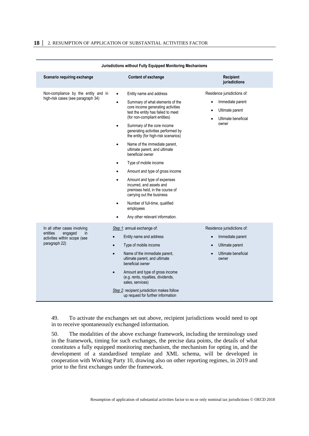| Jurisdictions without Fully Equipped Monitoring Mechanisms                                                 |                                                                                                                                                                                                                                                                                                                                                                                                                                                                                                                                                                                                                                                                                                |                                                                                                                 |  |  |  |
|------------------------------------------------------------------------------------------------------------|------------------------------------------------------------------------------------------------------------------------------------------------------------------------------------------------------------------------------------------------------------------------------------------------------------------------------------------------------------------------------------------------------------------------------------------------------------------------------------------------------------------------------------------------------------------------------------------------------------------------------------------------------------------------------------------------|-----------------------------------------------------------------------------------------------------------------|--|--|--|
| Scenario requiring exchange                                                                                | Content of exchange                                                                                                                                                                                                                                                                                                                                                                                                                                                                                                                                                                                                                                                                            | <b>Recipient</b><br>jurisdictions                                                                               |  |  |  |
| Non-compliance by the entity and in<br>high-risk cases (see paragraph 34)                                  | Entity name and address<br>$\bullet$<br>Summary of what elements of the<br>$\bullet$<br>core income generating activities<br>test the entity has failed to meet<br>(for non-compliant entities)<br>Summary of the core income<br>٠<br>generating activities performed by<br>the entity (for high-risk scenarios)<br>Name of the immediate parent,<br>٠<br>ultimate parent, and ultimate<br>beneficial owner<br>Type of mobile income<br>٠<br>Amount and type of gross income<br>Amount and type of expenses<br>incurred, and assets and<br>premises held, in the course of<br>carrying out the business<br>Number of full-time, qualified<br>٠<br>employees<br>Any other relevant information. | Residence jurisdictions of:<br>Immediate parent<br>$\bullet$<br>Ultimate parent<br>Ultimate beneficial<br>owner |  |  |  |
| In all other cases involving<br>entities<br>engaged<br>in<br>activities within scope (see<br>paragraph 22) | Step 1: annual exchange of:<br>Entity name and address<br>Type of mobile income<br>$\bullet$<br>Name of the immediate parent,<br>$\bullet$<br>ultimate parent, and ultimate<br>beneficial owner<br>Amount and type of gross income<br>(e.g. rents, royalties, dividends,<br>sales, services)<br>Step 2: recipient jurisdiction makes follow<br>up request for further information                                                                                                                                                                                                                                                                                                              | Residence jurisdictions of:<br>Immediate parent<br>Ultimate parent<br>Ultimate beneficial<br>owner              |  |  |  |

#### **Jurisdictions without Fully Equipped Monitoring Mechanisms**

49. To activate the exchanges set out above, recipient jurisdictions would need to opt in to receive spontaneously exchanged information.

50. The modalities of the above exchange framework, including the terminology used in the framework, timing for such exchanges, the precise data points, the details of what constitutes a fully equipped monitoring mechanism, the mechanism for opting in, and the development of a standardised template and XML schema, will be developed in cooperation with Working Party 10, drawing also on other reporting regimes, in 2019 and prior to the first exchanges under the framework.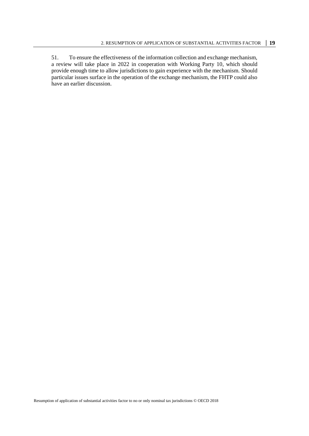51. To ensure the effectiveness of the information collection and exchange mechanism, a review will take place in 2022 in cooperation with Working Party 10, which should provide enough time to allow jurisdictions to gain experience with the mechanism. Should particular issues surface in the operation of the exchange mechanism, the FHTP could also have an earlier discussion.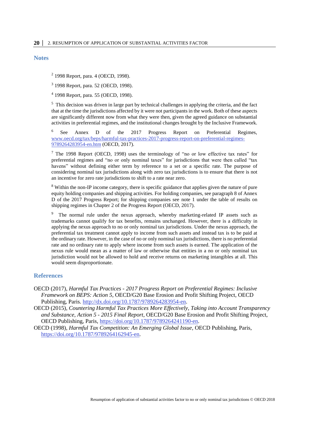#### **Notes**

2 1998 Report, para. 4 (OECD, 1998).

3 1998 Report, para. 52 (OECD, 1998).

4 1998 Report, para. 55 (OECD, 1998).

<sup>5</sup> This decision was driven in large part by technical challenges in applying the criteria, and the fact that at the time the jurisdictions affected by it were not participants in the work. Both of these aspects are significantly different now from what they were then, given the agreed guidance on substantial activities in preferential regimes, and the institutional changes brought by the Inclusive Framework.

<sup>6</sup> See Annex D of the 2017 Progress Report on Preferential Regimes, [www.oecd.org/tax/beps/harmful-tax-practices-2017-progress-report-on-preferential-regimes-](http://www.oecd.org/tax/beps/harmful-tax-practices-2017-progress-report-on-preferential-regimes-9789264283954-en.htm)[9789264283954-en.htm](http://www.oecd.org/tax/beps/harmful-tax-practices-2017-progress-report-on-preferential-regimes-9789264283954-en.htm) (OECD, 2017).

 $7$  The 1998 Report (OECD, 1998) uses the terminology of "no or low effective tax rates" for preferential regimes and "no or only nominal taxes" for jurisdictions that were then called "tax havens" without defining either term by reference to a set or a specific rate. The purpose of considering nominal tax jurisdictions along with zero tax jurisdictions is to ensure that there is not an incentive for zero rate jurisdictions to shift to a rate near zero.

<sup>8</sup> Within the non-IP income category, there is specific guidance that applies given the nature of pure equity holding companies and shipping activities. For holding companies, see paragraph 8 of Annex D of the 2017 Progress Report; for shipping companies see note 1 under the table of results on shipping regimes in Chapter 2 of the Progress Report (OECD, 2017).

9 The normal rule under the nexus approach, whereby marketing-related IP assets such as trademarks cannot qualify for tax benefits, remains unchanged. However, there is a difficulty in applying the nexus approach to no or only nominal tax jurisdictions. Under the nexus approach, the preferential tax treatment cannot apply to income from such assets and instead tax is to be paid at the ordinary rate. However, in the case of no or only nominal tax jurisdictions, there is no preferential rate and no ordinary rate to apply where income from such assets is earned. The application of the nexus rule would mean as a matter of law or otherwise that entities in a no or only nominal tax jurisdiction would not be allowed to hold and receive returns on marketing intangibles at all. This would seem disproportionate.

#### **References**

OECD (2017), *Harmful Tax Practices - 2017 Progress Report on Preferential Regimes: Inclusive Framework on BEPS: Action 5*, OECD/G20 Base Erosion and Profit Shifting Project, OECD Publishing, Paris. [http://dx.doi.org/10.1787/9789264283954-en.](http://dx.doi.org/10.1787/9789264283954-en)

OECD (2015), *Countering Harmful Tax Practices More Effectively, Taking into Account Transparency and Substance, Action 5 - 2015 Final Report*, OECD/G20 Base Erosion and Profit Shifting Project, OECD Publishing, Paris, [https://doi.org/10.1787/9789264241190-en.](https://doi.org/10.1787/9789264241190-en)

OECD (1998), *Harmful Tax Competition: An Emerging Global Issue*, OECD Publishing, Paris, [https://doi.org/10.1787/9789264162945-en.](https://doi.org/10.1787/9789264162945-en)